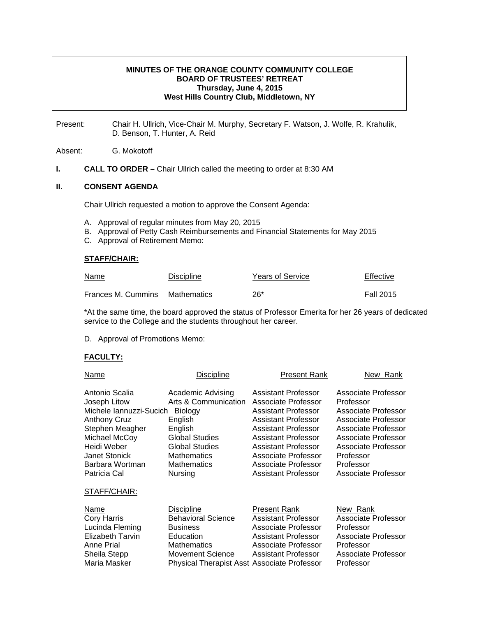### **MINUTES OF THE ORANGE COUNTY COMMUNITY COLLEGE BOARD OF TRUSTEES' RETREAT Thursday, June 4, 2015 West Hills Country Club, Middletown, NY**

Present: Chair H. Ullrich, Vice-Chair M. Murphy, Secretary F. Watson, J. Wolfe, R. Krahulik, D. Benson, T. Hunter, A. Reid

Absent: G. Mokotoff

**I.** CALL TO ORDER – Chair Ullrich called the meeting to order at 8:30 AM

### **II. CONSENT AGENDA**

Chair Ullrich requested a motion to approve the Consent Agenda:

- A. Approval of regular minutes from May 20, 2015
- B. Approval of Petty Cash Reimbursements and Financial Statements for May 2015
- C. Approval of Retirement Memo:

#### **STAFF/CHAIR:**

| Name                           | <b>Discipline</b> | <b>Years of Service</b> | Effective        |
|--------------------------------|-------------------|-------------------------|------------------|
| Frances M. Cummins Mathematics |                   | 26*                     | <b>Fall 2015</b> |

\*At the same time, the board approved the status of Professor Emerita for her 26 years of dedicated service to the College and the students throughout her career.

D. Approval of Promotions Memo:

### **FACULTY:**

| Name                                                                                                                                                                                                           | Discipline                                                                                                                                                                          | <b>Present Rank</b>                                                                                                                                                                                                                                     | New Rank                                                                                                                                                                                                           |
|----------------------------------------------------------------------------------------------------------------------------------------------------------------------------------------------------------------|-------------------------------------------------------------------------------------------------------------------------------------------------------------------------------------|---------------------------------------------------------------------------------------------------------------------------------------------------------------------------------------------------------------------------------------------------------|--------------------------------------------------------------------------------------------------------------------------------------------------------------------------------------------------------------------|
| Antonio Scalia<br>Joseph Litow<br>Michele Iannuzzi-Sucich<br><b>Anthony Cruz</b><br>Stephen Meagher<br>Michael McCoy<br>Heidi Weber<br><b>Janet Stonick</b><br>Barbara Wortman<br>Patricia Cal<br>STAFF/CHAIR: | <b>Academic Advising</b><br>Arts & Communication<br>Biology<br>English<br>English<br>Global Studies<br><b>Global Studies</b><br><b>Mathematics</b><br><b>Mathematics</b><br>Nursing | <b>Assistant Professor</b><br>Associate Professor<br><b>Assistant Professor</b><br>Assistant Professor<br>Assistant Professor<br>Assistant Professor<br>Assistant Professor<br>Associate Professor<br>Associate Professor<br><b>Assistant Professor</b> | Associate Professor<br>Professor<br><b>Associate Professor</b><br>Associate Professor<br><b>Associate Professor</b><br>Associate Professor<br>Associate Professor<br>Professor<br>Professor<br>Associate Professor |
| Name<br><b>Cory Harris</b><br>Lucinda Fleming<br><b>Elizabeth Tarvin</b><br>Anne Prial<br>Sheila Stepp<br>Maria Masker                                                                                         | <b>Discipline</b><br><b>Behavioral Science</b><br><b>Business</b><br>Education<br><b>Mathematics</b><br>Movement Science<br><b>Physical Therapist Asst Associate Professor</b>      | Present Rank<br>Assistant Professor<br>Associate Professor<br><b>Assistant Professor</b><br>Associate Professor<br><b>Assistant Professor</b>                                                                                                           | New Rank<br>Associate Professor<br>Professor<br>Associate Professor<br>Professor<br>Associate Professor<br>Professor                                                                                               |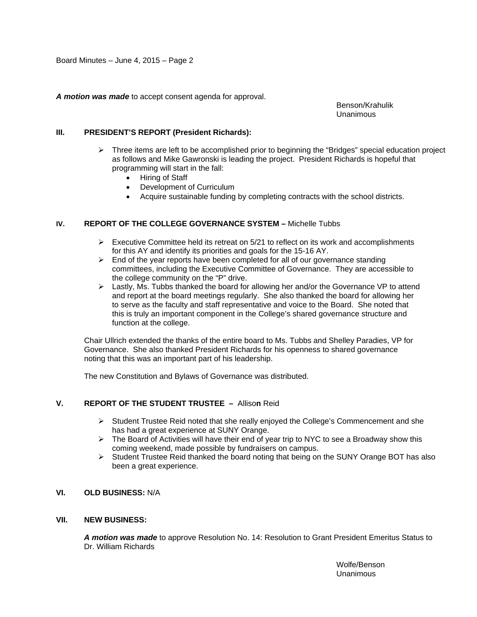*A motion was made* to accept consent agenda for approval.

 Benson/Krahulik Unanimous

### **III. PRESIDENT'S REPORT (President Richards):**

- $\triangleright$  Three items are left to be accomplished prior to beginning the "Bridges" special education project as follows and Mike Gawronski is leading the project. President Richards is hopeful that programming will start in the fall:
	- Hiring of Staff
	- Development of Curriculum
	- Acquire sustainable funding by completing contracts with the school districts.

### **IV. REPORT OF THE COLLEGE GOVERNANCE SYSTEM –** Michelle Tubbs

- $\triangleright$  Executive Committee held its retreat on 5/21 to reflect on its work and accomplishments for this AY and identify its priorities and goals for the 15-16 AY.
- $\triangleright$  End of the year reports have been completed for all of our governance standing committees, including the Executive Committee of Governance. They are accessible to the college community on the "P" drive.
- ¾ Lastly, Ms. Tubbs thanked the board for allowing her and/or the Governance VP to attend and report at the board meetings regularly. She also thanked the board for allowing her to serve as the faculty and staff representative and voice to the Board. She noted that this is truly an important component in the College's shared governance structure and function at the college.

Chair Ullrich extended the thanks of the entire board to Ms. Tubbs and Shelley Paradies, VP for Governance. She also thanked President Richards for his openness to shared governance noting that this was an important part of his leadership.

The new Constitution and Bylaws of Governance was distributed.

### **V. REPORT OF THE STUDENT TRUSTEE –** Alliso**n** Reid

- ¾ Student Trustee Reid noted that she really enjoyed the College's Commencement and she has had a great experience at SUNY Orange.
- $\triangleright$  The Board of Activities will have their end of year trip to NYC to see a Broadway show this coming weekend, made possible by fundraisers on campus.
- $\triangleright$  Student Trustee Reid thanked the board noting that being on the SUNY Orange BOT has also been a great experience.

# **VI. OLD BUSINESS:** N/A

#### **VII. NEW BUSINESS:**

*A motion was made* to approve Resolution No. 14: Resolution to Grant President Emeritus Status to Dr. William Richards

> Wolfe/Benson Unanimous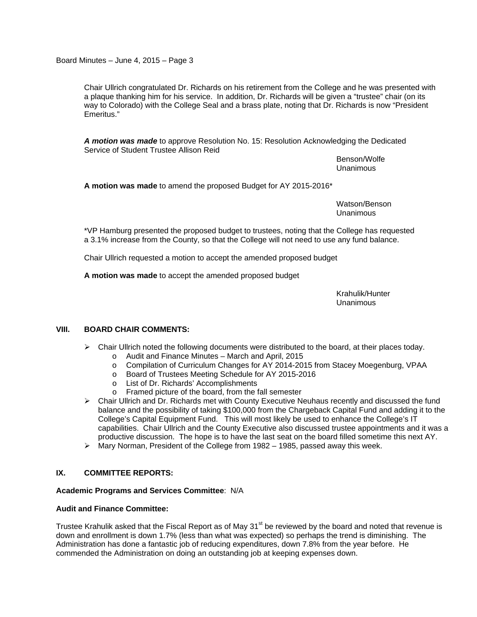Board Minutes – June 4, 2015 – Page 3

Chair Ullrich congratulated Dr. Richards on his retirement from the College and he was presented with a plaque thanking him for his service. In addition, Dr. Richards will be given a "trustee" chair (on its way to Colorado) with the College Seal and a brass plate, noting that Dr. Richards is now "President Emeritus."

*A motion was made* to approve Resolution No. 15: Resolution Acknowledging the Dedicated Service of Student Trustee Allison Reid

> Benson/Wolfe Unanimous

**A motion was made** to amend the proposed Budget for AY 2015-2016\*

 Watson/Benson Unanimous

\*VP Hamburg presented the proposed budget to trustees, noting that the College has requested a 3.1% increase from the County, so that the College will not need to use any fund balance.

Chair Ullrich requested a motion to accept the amended proposed budget

**A motion was made** to accept the amended proposed budget

 Krahulik/Hunter Unanimous

## **VIII. BOARD CHAIR COMMENTS:**

- $\triangleright$  Chair Ullrich noted the following documents were distributed to the board, at their places today.
	- o Audit and Finance Minutes March and April, 2015
	- o Compilation of Curriculum Changes for AY 2014-2015 from Stacey Moegenburg, VPAA<br>○ Board of Trustees Meeting Schedule for AY 2015-2016
	- Board of Trustees Meeting Schedule for AY 2015-2016
	- o List of Dr. Richards' Accomplishments
	- o Framed picture of the board, from the fall semester
- $\triangleright$  Chair Ullrich and Dr. Richards met with County Executive Neuhaus recently and discussed the fund balance and the possibility of taking \$100,000 from the Chargeback Capital Fund and adding it to the College's Capital Equipment Fund. This will most likely be used to enhance the College's IT capabilities. Chair Ullrich and the County Executive also discussed trustee appointments and it was a productive discussion. The hope is to have the last seat on the board filled sometime this next AY.
- $\triangleright$  Mary Norman, President of the College from 1982 1985, passed away this week.

### **IX. COMMITTEE REPORTS:**

### **Academic Programs and Services Committee**: N/A

### **Audit and Finance Committee:**

Trustee Krahulik asked that the Fiscal Report as of May 31<sup>st</sup> be reviewed by the board and noted that revenue is down and enrollment is down 1.7% (less than what was expected) so perhaps the trend is diminishing. The Administration has done a fantastic job of reducing expenditures, down 7.8% from the year before. He commended the Administration on doing an outstanding job at keeping expenses down.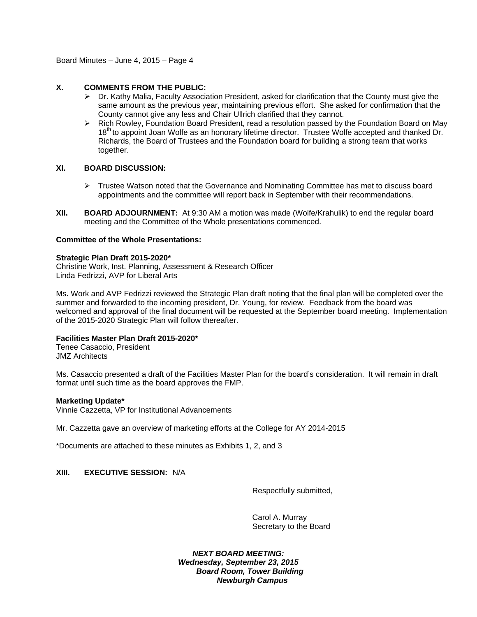Board Minutes – June 4, 2015 – Page 4

## **X. COMMENTS FROM THE PUBLIC:**

- $\triangleright$  Dr. Kathy Malia, Faculty Association President, asked for clarification that the County must give the same amount as the previous year, maintaining previous effort. She asked for confirmation that the County cannot give any less and Chair Ullrich clarified that they cannot.
- $\triangleright$  Rich Rowley, Foundation Board President, read a resolution passed by the Foundation Board on May 18<sup>th</sup> to appoint Joan Wolfe as an honorary lifetime director. Trustee Wolfe accepted and thanked Dr. Richards, the Board of Trustees and the Foundation board for building a strong team that works together.

### **XI. BOARD DISCUSSION:**

- $\triangleright$  Trustee Watson noted that the Governance and Nominating Committee has met to discuss board appointments and the committee will report back in September with their recommendations.
- **XII. BOARD ADJOURNMENT:** At 9:30 AM a motion was made (Wolfe/Krahulik) to end the regular board meeting and the Committee of the Whole presentations commenced.

### **Committee of the Whole Presentations:**

### **Strategic Plan Draft 2015-2020\***

Christine Work, Inst. Planning, Assessment & Research Officer Linda Fedrizzi, AVP for Liberal Arts

Ms. Work and AVP Fedrizzi reviewed the Strategic Plan draft noting that the final plan will be completed over the summer and forwarded to the incoming president, Dr. Young, for review. Feedback from the board was welcomed and approval of the final document will be requested at the September board meeting. Implementation of the 2015-2020 Strategic Plan will follow thereafter.

## **Facilities Master Plan Draft 2015-2020\***

Tenee Casaccio, President JMZ Architects

Ms. Casaccio presented a draft of the Facilities Master Plan for the board's consideration. It will remain in draft format until such time as the board approves the FMP.

### **Marketing Update\***

Vinnie Cazzetta, VP for Institutional Advancements

Mr. Cazzetta gave an overview of marketing efforts at the College for AY 2014-2015

\*Documents are attached to these minutes as Exhibits 1, 2, and 3

### **XIII. EXECUTIVE SESSION:** N/A

Respectfully submitted,

Carol A. Murray Secretary to the Board

*NEXT BOARD MEETING: Wednesday, September 23, 2015 Board Room, Tower Building Newburgh Campus*